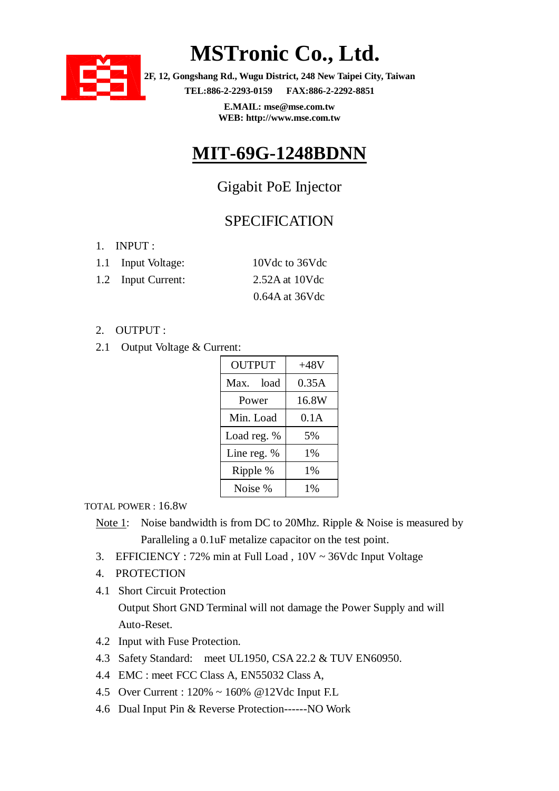

# **MSTronic Co., Ltd.**

**2F, 12, Gongshang Rd., Wugu District, 248 New Taipei City, Taiwan TEL:886-2-2293-0159 FAX:886-2-2292-8851**

> **E.MAIL: mse@mse.com.tw WEB: http://www.mse.com.tw**

### **MIT-69G-1248BDNN**

### Gigabit PoE Injector

### **SPECIFICATION**

1. INPUT :

| 1.1 Input Voltage: | 10Vdc to 36Vdc   |
|--------------------|------------------|
| 1.2 Input Current: | $2.52A$ at 10Vdc |
|                    | $0.64A$ at 36Vdc |

### 2. OUTPUT :

2.1 Output Voltage & Current:

| <b>OUTPUT</b> | $+48V$ |  |
|---------------|--------|--|
| Max. load     | 0.35A  |  |
| Power         | 16.8W  |  |
| Min. Load     | 0.1A   |  |
| Load reg. %   | 5%     |  |
| Line reg. %   | 1%     |  |
| Ripple %      | 1%     |  |
| Noise %       | 1%     |  |

#### TOTAL POWER : 16.8W

- Note 1: Noise bandwidth is from DC to 20Mhz. Ripple & Noise is measured by Paralleling a 0.1uF metalize capacitor on the test point.
- 3. EFFICIENCY : 72% min at Full Load , 10V ~ 36Vdc Input Voltage
- 4. PROTECTION
- 4.1 Short Circuit Protection Output Short GND Terminal will not damage the Power Supply and will Auto-Reset.
- 4.2 Input with Fuse Protection.
- 4.3 Safety Standard: meet UL1950, CSA 22.2 & TUV EN60950.
- 4.4 EMC : meet FCC Class A, EN55032 Class A,
- 4.5 Over Current : 120% ~ 160% @12Vdc Input F.L
- 4.6 Dual Input Pin & Reverse Protection------NO Work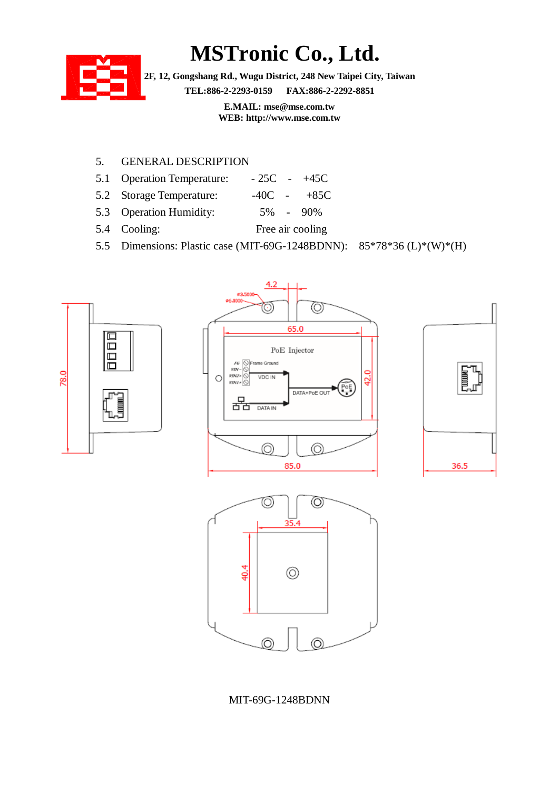## **MSTronic Co., Ltd.**



**2F, 12, Gongshang Rd., Wugu District, 248 New Taipei City, Taiwan TEL:886-2-2293-0159 FAX:886-2-2292-8851**

> **E.MAIL: mse@mse.com.tw WEB: http://www.mse.com.tw**

### 5. GENERAL DESCRIPTION

- 5.1 Operation Temperature:  $-25C 45C$
- 5.2 Storage Temperature:  $-40C 485C$
- 5.3 Operation Humidity: 5% 90%
- 5.4 Cooling: Free air cooling
- 5.5 Dimensions: Plastic case (MIT-69G-1248BDNN): 85\*78\*36 (L)\*(W)\*(H)



#### MIT-69G-1248BDNN

 $\circledcirc$ 

⊚